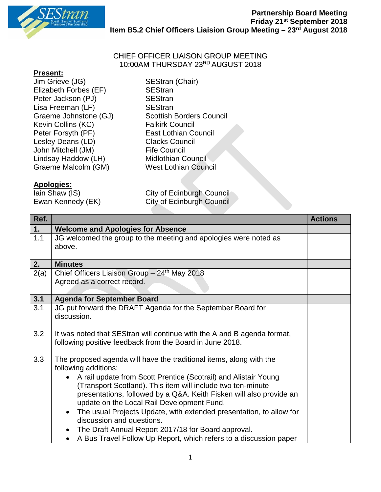

## CHIEF OFFICER LIAISON GROUP MEETING 10:00AM THURSDAY 23RD AUGUST 2018

## **Present:**

Jim Grieve (JG) SEStran (Chair) Elizabeth Forbes (EF) SEStran Peter Jackson (PJ) SEStran Lisa Freeman (LF) SEStran Kevin Collins (KC)<br>Peter Forsyth (PF) Lesley Deans (LD) Clacks Council John Mitchell (JM) Fife Council<br>Lindsay Haddow (LH) Midlothian Council Lindsay Haddow  $(LH)$ Graeme Malcolm (GM) West Lothian Council

## **Apologies:**

 $\overline{\text{lain Shaw}}$  (IS) Ewan Kennedy (EK)

Graeme Johnstone (GJ) Scottish Borders Council<br>
Kevin Collins (KC) Salkirk Council **East Lothian Council** 

| City of Edinburgh Council        |  |
|----------------------------------|--|
| <b>City of Edinburgh Council</b> |  |

| Ref. |                                                                                             | <b>Actions</b> |
|------|---------------------------------------------------------------------------------------------|----------------|
| 1.   | <b>Welcome and Apologies for Absence</b>                                                    |                |
| 1.1  | JG welcomed the group to the meeting and apologies were noted as                            |                |
|      | above.                                                                                      |                |
|      |                                                                                             |                |
| 2.   | <b>Minutes</b>                                                                              |                |
| 2(a) | Chief Officers Liaison Group $-24th$ May 2018                                               |                |
|      | Agreed as a correct record.                                                                 |                |
|      |                                                                                             |                |
| 3.1  | <b>Agenda for September Board</b>                                                           |                |
| 3.1  | JG put forward the DRAFT Agenda for the September Board for                                 |                |
|      | discussion.                                                                                 |                |
|      |                                                                                             |                |
| 3.2  | It was noted that SEStran will continue with the A and B agenda format,                     |                |
|      | following positive feedback from the Board in June 2018.                                    |                |
|      |                                                                                             |                |
| 3.3  | The proposed agenda will have the traditional items, along with the<br>following additions: |                |
|      |                                                                                             |                |
|      | A rail update from Scott Prentice (Scotrail) and Alistair Young                             |                |
|      | (Transport Scotland). This item will include two ten-minute                                 |                |
|      | presentations, followed by a Q&A. Keith Fisken will also provide an                         |                |
|      | update on the Local Rail Development Fund.                                                  |                |
|      | The usual Projects Update, with extended presentation, to allow for                         |                |
|      | discussion and questions.                                                                   |                |
|      | The Draft Annual Report 2017/18 for Board approval.                                         |                |
|      | A Bus Travel Follow Up Report, which refers to a discussion paper<br>$\bullet$              |                |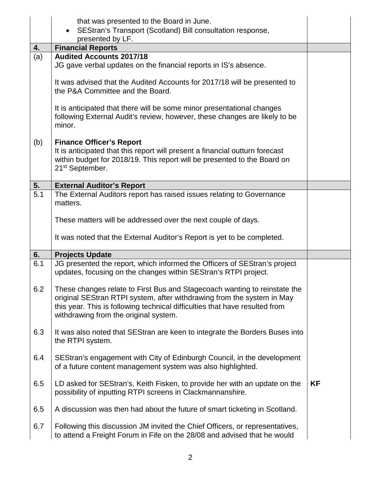|                  | that was presented to the Board in June.<br>SEStran's Transport (Scotland) Bill consultation response,                                                                                                                                                                      |           |
|------------------|-----------------------------------------------------------------------------------------------------------------------------------------------------------------------------------------------------------------------------------------------------------------------------|-----------|
| 4.               | presented by LF.<br><b>Financial Reports</b>                                                                                                                                                                                                                                |           |
| (a)              | <b>Audited Accounts 2017/18</b>                                                                                                                                                                                                                                             |           |
|                  | JG gave verbal updates on the financial reports in IS's absence.                                                                                                                                                                                                            |           |
|                  | It was advised that the Audited Accounts for 2017/18 will be presented to<br>the P&A Committee and the Board.                                                                                                                                                               |           |
|                  | It is anticipated that there will be some minor presentational changes<br>following External Audit's review, however, these changes are likely to be<br>minor.                                                                                                              |           |
| (b)              | <b>Finance Officer's Report</b><br>It is anticipated that this report will present a financial outturn forecast<br>within budget for 2018/19. This report will be presented to the Board on<br>21 <sup>st</sup> September.                                                  |           |
| 5.               | <b>External Auditor's Report</b>                                                                                                                                                                                                                                            |           |
| $\overline{5.1}$ | The External Auditors report has raised issues relating to Governance<br>matters.                                                                                                                                                                                           |           |
|                  | These matters will be addressed over the next couple of days.                                                                                                                                                                                                               |           |
|                  |                                                                                                                                                                                                                                                                             |           |
|                  | It was noted that the External Auditor's Report is yet to be completed.                                                                                                                                                                                                     |           |
| 6.               | <b>Projects Update</b>                                                                                                                                                                                                                                                      |           |
| 6.1              | JG presented the report, which informed the Officers of SEStran's project<br>updates, focusing on the changes within SEStran's RTPI project.                                                                                                                                |           |
| 6.2              | These changes relate to First Bus and Stagecoach wanting to reinstate the<br>original SEStran RTPI system, after withdrawing from the system in May<br>this year. This is following technical difficulties that have resulted from<br>withdrawing from the original system. |           |
| 6.3              | It was also noted that SEStran are keen to integrate the Borders Buses into<br>the RTPI system.                                                                                                                                                                             |           |
| 6.4              | SEStran's engagement with City of Edinburgh Council, in the development<br>of a future content management system was also highlighted.                                                                                                                                      |           |
| 6.5              | LD asked for SEStran's, Keith Fisken, to provide her with an update on the<br>possibility of inputting RTPI screens in Clackmannanshire.                                                                                                                                    | <b>KF</b> |
| 6.5              | A discussion was then had about the future of smart ticketing in Scotland.                                                                                                                                                                                                  |           |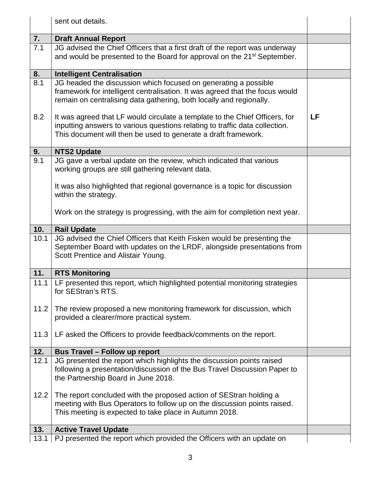|      | sent out details.                                                                                                                                                                                                            |    |
|------|------------------------------------------------------------------------------------------------------------------------------------------------------------------------------------------------------------------------------|----|
| 7.   | <b>Draft Annual Report</b>                                                                                                                                                                                                   |    |
| 7.1  | JG advised the Chief Officers that a first draft of the report was underway                                                                                                                                                  |    |
|      | and would be presented to the Board for approval on the 21 <sup>st</sup> September.                                                                                                                                          |    |
| 8.   | <b>Intelligent Centralisation</b>                                                                                                                                                                                            |    |
| 8.1  | JG headed the discussion which focused on generating a possible<br>framework for intelligent centralisation. It was agreed that the focus would<br>remain on centralising data gathering, both locally and regionally.       |    |
| 8.2  | It was agreed that LF would circulate a template to the Chief Officers, for<br>inputting answers to various questions relating to traffic data collection.<br>This document will then be used to generate a draft framework. | LF |
| 9.   | <b>NTS2 Update</b>                                                                                                                                                                                                           |    |
| 9.1  | JG gave a verbal update on the review, which indicated that various<br>working groups are still gathering relevant data.                                                                                                     |    |
|      | It was also highlighted that regional governance is a topic for discussion<br>within the strategy.                                                                                                                           |    |
|      | Work on the strategy is progressing, with the aim for completion next year.                                                                                                                                                  |    |
| 10.  | <b>Rail Update</b>                                                                                                                                                                                                           |    |
| 10.1 | JG advised the Chief Officers that Keith Fisken would be presenting the<br>September Board with updates on the LRDF, alongside presentations from<br>Scott Prentice and Alistair Young.                                      |    |
| 11.  | <b>RTS Monitoring</b>                                                                                                                                                                                                        |    |
| 11.1 | LF presented this report, which highlighted potential monitoring strategies<br>for SEStran's RTS.                                                                                                                            |    |
| 11.2 | The review proposed a new monitoring framework for discussion, which<br>provided a clearer/more practical system.                                                                                                            |    |
| 11.3 | LF asked the Officers to provide feedback/comments on the report.                                                                                                                                                            |    |
| 12.  | <b>Bus Travel - Follow up report</b>                                                                                                                                                                                         |    |
| 12.1 | JG presented the report which highlights the discussion points raised<br>following a presentation/discussion of the Bus Travel Discussion Paper to<br>the Partnership Board in June 2018.                                    |    |
| 12.2 | The report concluded with the proposed action of SEStran holding a<br>meeting with Bus Operators to follow up on the discussion points raised.<br>This meeting is expected to take place in Autumn 2018.                     |    |
| 13.  | <b>Active Travel Update</b>                                                                                                                                                                                                  |    |
| 13.1 | PJ presented the report which provided the Officers with an update on                                                                                                                                                        |    |